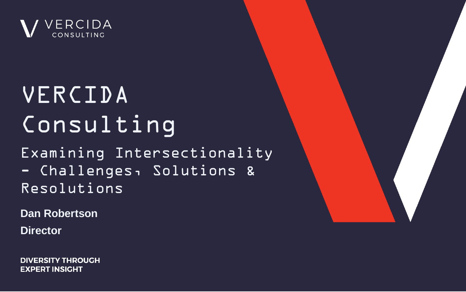

# Consulting VERCIDA

Examining Intersectionality - Challenges, Solutions & Resolutions

**Dan Robertson**

**Director** 

**DIVERSITY THROUGH EXPERT INSIGHT** 

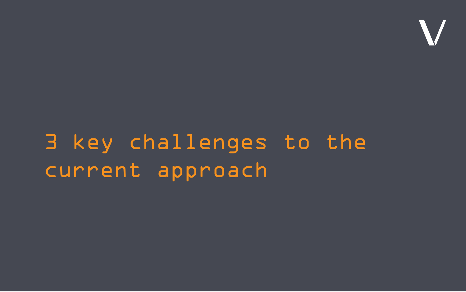# 3 key challenges to the current approach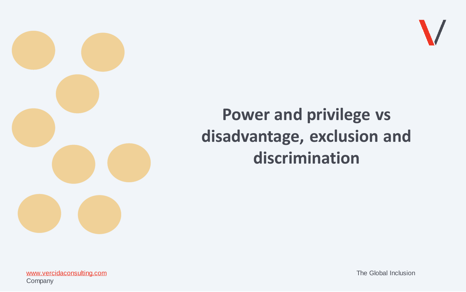

# **Power and privilege vs disadvantage, exclusion and discrimination**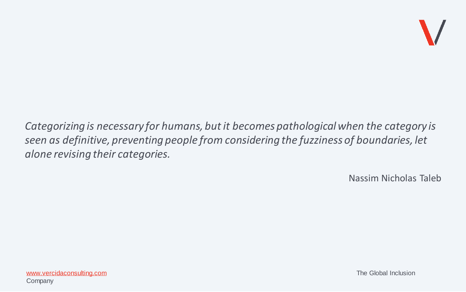

*Categorizing is necessary for humans, but it becomes pathological when the category is seen as definitive, preventing people from considering the fuzziness of boundaries, let alone revising their categories.* 

Nassim Nicholas Taleb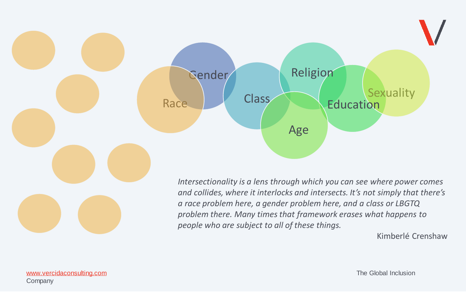

Kimberlé Crenshaw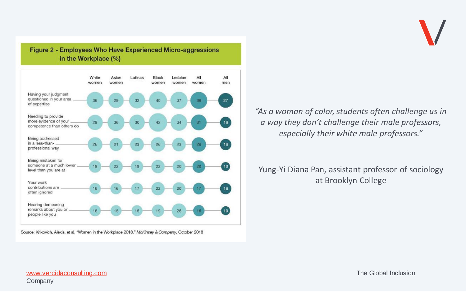

Figure 2 - Employees Who Have Experienced Micro-aggressions in the Workplace (%)



Source: Krikovich, Alexis, et al. "Women in the Workplace 2018." McKinsey & Company, October 2018

*"As a woman of color, students often challenge us in a way they don't challenge their male professors, especially their white male professors."*

### Yung-Yi Diana Pan, assistant professor of sociology at Brooklyn College

[www.vercidaconsulting.com](http://www.vercidaconsulting.com/) example of the Clobal Inclusion and the Global Inclusion Company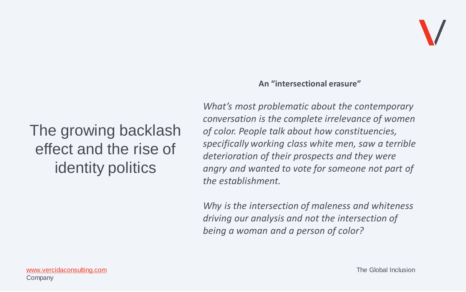# The growing backlash effect and the rise of identity politics

#### **An "intersectional erasure"**

*What's most problematic about the contemporary conversation is the complete irrelevance of women of color. People talk about how constituencies, specifically working class white men, saw a terrible deterioration of their prospects and they were angry and wanted to vote for someone not part of the establishment.*

*Why is the intersection of maleness and whiteness driving our analysis and not the intersection of being a woman and a person of color?*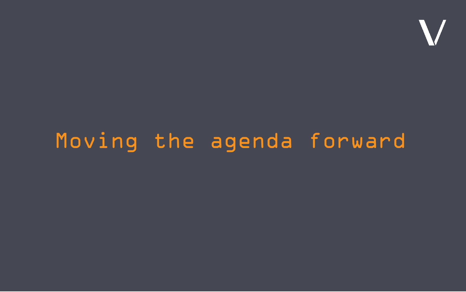

### Subtitle, date goes here Moving the agenda forward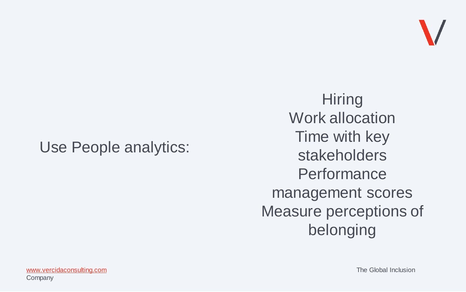

## Use People analytics:

**Hiring** Work allocation Time with key stakeholders **Performance** management scores Measure perceptions of belonging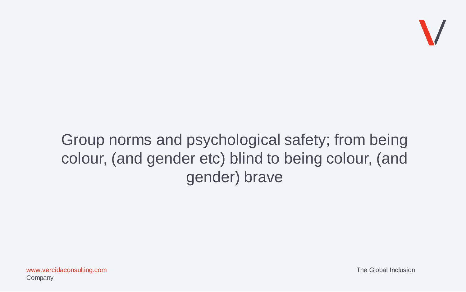

# Group norms and psychological safety; from being colour, (and gender etc) blind to being colour, (and gender) brave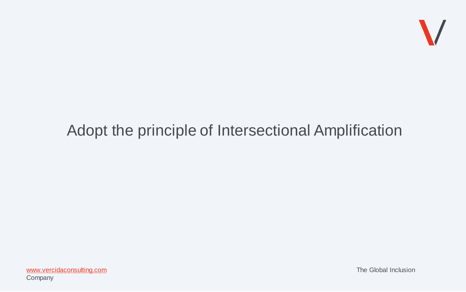

# Adopt the principle of Intersectional Amplification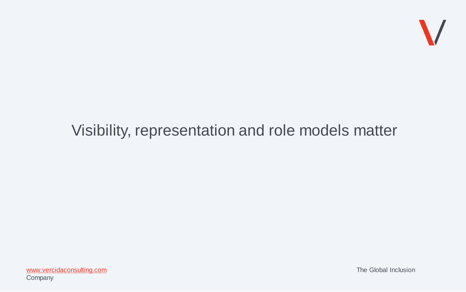

# Visibility, representation and role models matter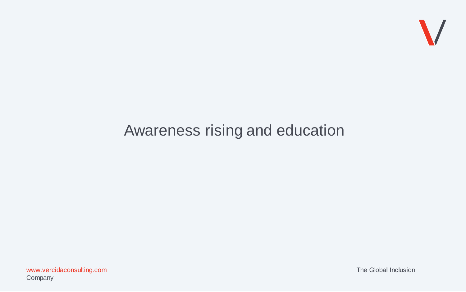

# Awareness rising and education